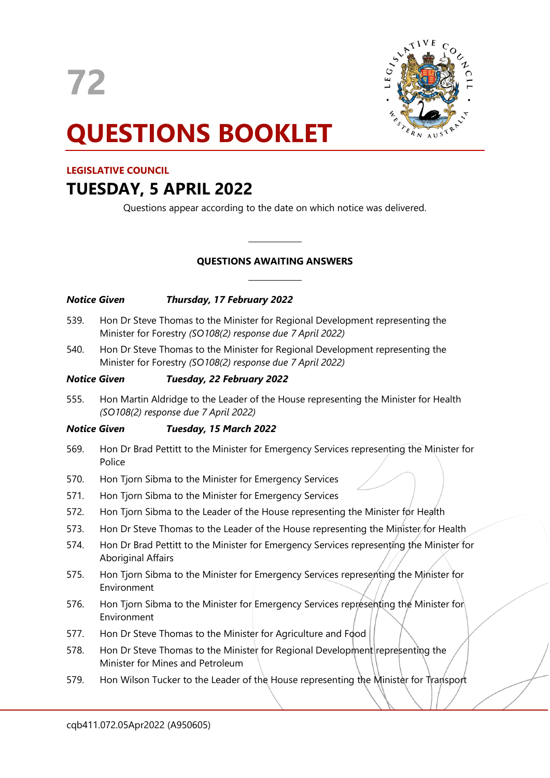

# **QUESTIONS BOOKLET**

# **LEGISLATIVE COUNCIL**

# **TUESDAY, 5 APRIL 2022**

Questions appear according to the date on which notice was delivered.

# **QUESTIONS AWAITING ANSWERS**

 $\overline{\phantom{a}}$ 

 $\overline{\phantom{a}}$ 

| <b>Notice Given</b> |                                                                                                                                             | Thursday, 17 February 2022                                      |  |                                                                                          |
|---------------------|---------------------------------------------------------------------------------------------------------------------------------------------|-----------------------------------------------------------------|--|------------------------------------------------------------------------------------------|
| 539.                | Hon Dr Steve Thomas to the Minister for Regional Development representing the<br>Minister for Forestry (SO108(2) response due 7 April 2022) |                                                                 |  |                                                                                          |
| 540.                | Hon Dr Steve Thomas to the Minister for Regional Development representing the<br>Minister for Forestry (SO108(2) response due 7 April 2022) |                                                                 |  |                                                                                          |
| <b>Notice Given</b> |                                                                                                                                             | Tuesday, 22 February 2022                                       |  |                                                                                          |
| 555.                | Hon Martin Aldridge to the Leader of the House representing the Minister for Health<br>(SO108(2) response due 7 April 2022)                 |                                                                 |  |                                                                                          |
| <b>Notice Given</b> |                                                                                                                                             | Tuesday, 15 March 2022                                          |  |                                                                                          |
| 569.                | Police                                                                                                                                      |                                                                 |  | Hon Dr Brad Pettitt to the Minister for Emergency Services representing the Minister for |
| 570.                | Hon Tjorn Sibma to the Minister for Emergency Services                                                                                      |                                                                 |  |                                                                                          |
| 571.                | Hon Tjorn Sibma to the Minister for Emergency Services                                                                                      |                                                                 |  |                                                                                          |
| 572.                | Hon Tjorn Sibma to the Leader of the House representing the Minister for Health                                                             |                                                                 |  |                                                                                          |
| 573.                | Hon Dr Steve Thomas to the Leader of the House representing the Minister for Health                                                         |                                                                 |  |                                                                                          |
| 574.                | <b>Aboriginal Affairs</b>                                                                                                                   |                                                                 |  | Hon Dr Brad Pettitt to the Minister for Emergency Services representing the Minister for |
| 575.                | Environment                                                                                                                                 |                                                                 |  | Hon Tjorn Sibma to the Minister for Emergency Services representing the Minister for     |
| <u>гэс</u>          |                                                                                                                                             | Lieu Tierre Cileren de des Minister feu Freezenschaften Centier |  | $M:$ $\rightarrow$ $\rightarrow$ $\rightarrow$ $\rightarrow$<br>لداله                    |

- 576. Hon Tjorn Sibma to the Minister for Emergency Services representing the Minister for Environment
- 577. Hon Dr Steve Thomas to the Minister for Agriculture and Food
- 578. Hon Dr Steve Thomas to the Minister for Regional Development representing the Minister for Mines and Petroleum
- 579. Hon Wilson Tucker to the Leader of the House representing the Minister for Transport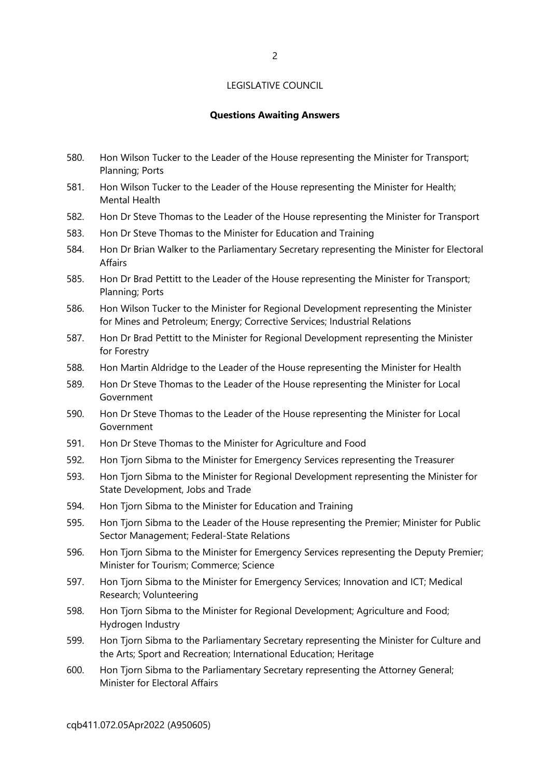#### **Questions Awaiting Answers**

- 580. Hon Wilson Tucker to the Leader of the House representing the Minister for Transport; Planning; Ports
- 581. Hon Wilson Tucker to the Leader of the House representing the Minister for Health; Mental Health
- 582. Hon Dr Steve Thomas to the Leader of the House representing the Minister for Transport
- 583. Hon Dr Steve Thomas to the Minister for Education and Training
- 584. Hon Dr Brian Walker to the Parliamentary Secretary representing the Minister for Electoral Affairs
- 585. Hon Dr Brad Pettitt to the Leader of the House representing the Minister for Transport; Planning; Ports
- 586. Hon Wilson Tucker to the Minister for Regional Development representing the Minister for Mines and Petroleum; Energy; Corrective Services; Industrial Relations
- 587. Hon Dr Brad Pettitt to the Minister for Regional Development representing the Minister for Forestry
- 588. Hon Martin Aldridge to the Leader of the House representing the Minister for Health
- 589. Hon Dr Steve Thomas to the Leader of the House representing the Minister for Local Government
- 590. Hon Dr Steve Thomas to the Leader of the House representing the Minister for Local Government
- 591. Hon Dr Steve Thomas to the Minister for Agriculture and Food
- 592. Hon Tjorn Sibma to the Minister for Emergency Services representing the Treasurer
- 593. Hon Tjorn Sibma to the Minister for Regional Development representing the Minister for State Development, Jobs and Trade
- 594. Hon Tjorn Sibma to the Minister for Education and Training
- 595. Hon Tjorn Sibma to the Leader of the House representing the Premier; Minister for Public Sector Management; Federal-State Relations
- 596. Hon Tjorn Sibma to the Minister for Emergency Services representing the Deputy Premier; Minister for Tourism; Commerce; Science
- 597. Hon Tjorn Sibma to the Minister for Emergency Services; Innovation and ICT; Medical Research; Volunteering
- 598. Hon Tjorn Sibma to the Minister for Regional Development; Agriculture and Food; Hydrogen Industry
- 599. Hon Tjorn Sibma to the Parliamentary Secretary representing the Minister for Culture and the Arts; Sport and Recreation; International Education; Heritage
- 600. Hon Tjorn Sibma to the Parliamentary Secretary representing the Attorney General; Minister for Electoral Affairs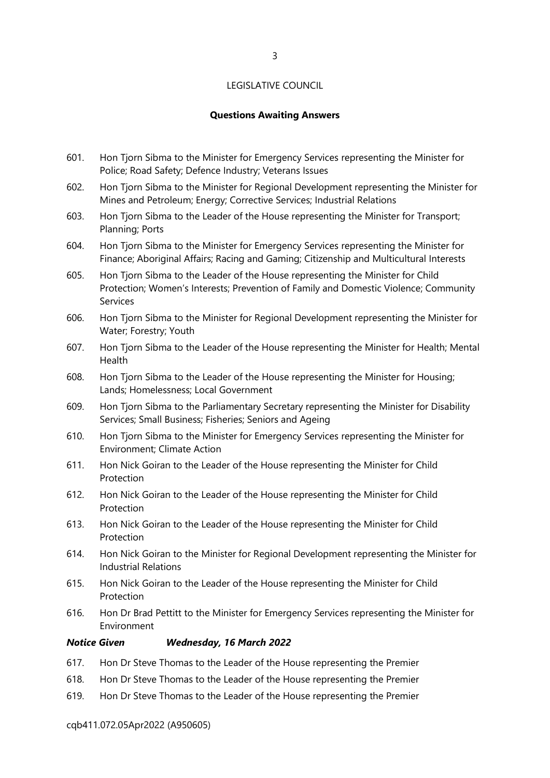# **Questions Awaiting Answers**

- 601. Hon Tjorn Sibma to the Minister for Emergency Services representing the Minister for Police; Road Safety; Defence Industry; Veterans Issues
- 602. Hon Tjorn Sibma to the Minister for Regional Development representing the Minister for Mines and Petroleum; Energy; Corrective Services; Industrial Relations
- 603. Hon Tjorn Sibma to the Leader of the House representing the Minister for Transport; Planning; Ports
- 604. Hon Tjorn Sibma to the Minister for Emergency Services representing the Minister for Finance; Aboriginal Affairs; Racing and Gaming; Citizenship and Multicultural Interests
- 605. Hon Tjorn Sibma to the Leader of the House representing the Minister for Child Protection; Women's Interests; Prevention of Family and Domestic Violence; Community Services
- 606. Hon Tjorn Sibma to the Minister for Regional Development representing the Minister for Water; Forestry; Youth
- 607. Hon Tjorn Sibma to the Leader of the House representing the Minister for Health; Mental Health
- 608. Hon Tjorn Sibma to the Leader of the House representing the Minister for Housing; Lands; Homelessness; Local Government
- 609. Hon Tjorn Sibma to the Parliamentary Secretary representing the Minister for Disability Services; Small Business; Fisheries; Seniors and Ageing
- 610. Hon Tjorn Sibma to the Minister for Emergency Services representing the Minister for Environment; Climate Action
- 611. Hon Nick Goiran to the Leader of the House representing the Minister for Child Protection
- 612. Hon Nick Goiran to the Leader of the House representing the Minister for Child **Protection**
- 613. Hon Nick Goiran to the Leader of the House representing the Minister for Child Protection
- 614. Hon Nick Goiran to the Minister for Regional Development representing the Minister for Industrial Relations
- 615. Hon Nick Goiran to the Leader of the House representing the Minister for Child Protection
- 616. Hon Dr Brad Pettitt to the Minister for Emergency Services representing the Minister for Environment

#### *Notice Given Wednesday, 16 March 2022*

- 617. Hon Dr Steve Thomas to the Leader of the House representing the Premier
- 618. Hon Dr Steve Thomas to the Leader of the House representing the Premier
- 619. Hon Dr Steve Thomas to the Leader of the House representing the Premier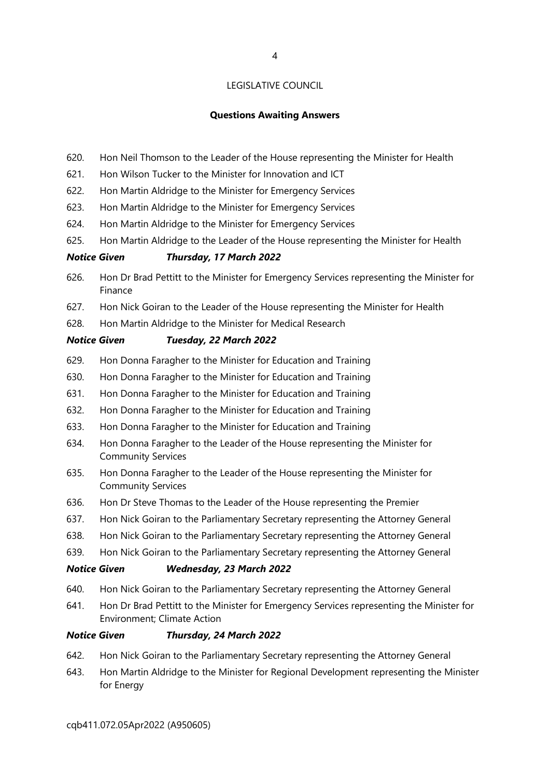# **Questions Awaiting Answers**

- 620. Hon Neil Thomson to the Leader of the House representing the Minister for Health
- 621. Hon Wilson Tucker to the Minister for Innovation and ICT
- 622. Hon Martin Aldridge to the Minister for Emergency Services
- 623. Hon Martin Aldridge to the Minister for Emergency Services
- 624. Hon Martin Aldridge to the Minister for Emergency Services
- 625. Hon Martin Aldridge to the Leader of the House representing the Minister for Health

# *Notice Given Thursday, 17 March 2022*

- 626. Hon Dr Brad Pettitt to the Minister for Emergency Services representing the Minister for Finance
- 627. Hon Nick Goiran to the Leader of the House representing the Minister for Health
- 628. Hon Martin Aldridge to the Minister for Medical Research

# *Notice Given Tuesday, 22 March 2022*

- 629. Hon Donna Faragher to the Minister for Education and Training
- 630. Hon Donna Faragher to the Minister for Education and Training
- 631. Hon Donna Faragher to the Minister for Education and Training
- 632. Hon Donna Faragher to the Minister for Education and Training
- 633. Hon Donna Faragher to the Minister for Education and Training
- 634. Hon Donna Faragher to the Leader of the House representing the Minister for Community Services
- 635. Hon Donna Faragher to the Leader of the House representing the Minister for Community Services
- 636. Hon Dr Steve Thomas to the Leader of the House representing the Premier
- 637. Hon Nick Goiran to the Parliamentary Secretary representing the Attorney General
- 638. Hon Nick Goiran to the Parliamentary Secretary representing the Attorney General
- 639. Hon Nick Goiran to the Parliamentary Secretary representing the Attorney General

### *Notice Given Wednesday, 23 March 2022*

- 640. Hon Nick Goiran to the Parliamentary Secretary representing the Attorney General
- 641. Hon Dr Brad Pettitt to the Minister for Emergency Services representing the Minister for Environment; Climate Action

### *Notice Given Thursday, 24 March 2022*

- 642. Hon Nick Goiran to the Parliamentary Secretary representing the Attorney General
- 643. Hon Martin Aldridge to the Minister for Regional Development representing the Minister for Energy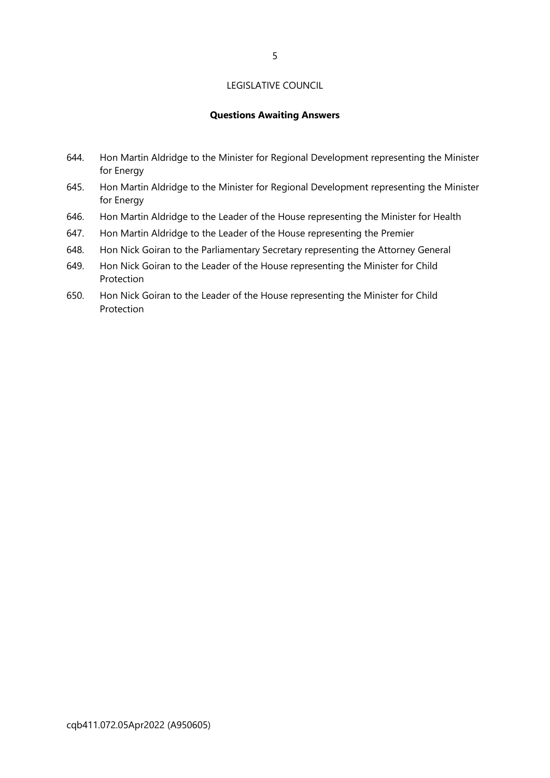# **Questions Awaiting Answers**

- 644. Hon Martin Aldridge to the Minister for Regional Development representing the Minister for Energy
- 645. Hon Martin Aldridge to the Minister for Regional Development representing the Minister for Energy
- 646. Hon Martin Aldridge to the Leader of the House representing the Minister for Health
- 647. Hon Martin Aldridge to the Leader of the House representing the Premier
- 648. Hon Nick Goiran to the Parliamentary Secretary representing the Attorney General
- 649. Hon Nick Goiran to the Leader of the House representing the Minister for Child **Protection**
- 650. Hon Nick Goiran to the Leader of the House representing the Minister for Child Protection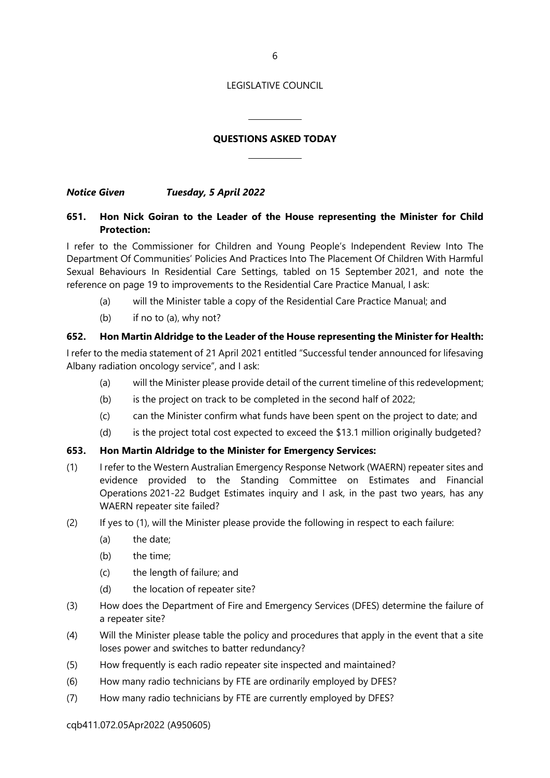# **QUESTIONS ASKED TODAY**

 $\overline{a}$ 

 $\overline{\phantom{a}}$ 

*Notice Given Tuesday, 5 April 2022*

# **651. Hon Nick Goiran to the Leader of the House representing the Minister for Child Protection:**

I refer to the Commissioner for Children and Young People's Independent Review Into The Department Of Communities' Policies And Practices Into The Placement Of Children With Harmful Sexual Behaviours In Residential Care Settings, tabled on 15 September 2021, and note the reference on page 19 to improvements to the Residential Care Practice Manual, I ask:

- (a) will the Minister table a copy of the Residential Care Practice Manual; and
- (b) if no to (a), why not?

# **652. Hon Martin Aldridge to the Leader of the House representing the Minister for Health:**

I refer to the media statement of 21 April 2021 entitled "Successful tender announced for lifesaving Albany radiation oncology service", and I ask:

- (a) will the Minister please provide detail of the current timeline of this redevelopment;
- (b) is the project on track to be completed in the second half of 2022;
- (c) can the Minister confirm what funds have been spent on the project to date; and
- (d) is the project total cost expected to exceed the \$13.1 million originally budgeted?

# **653. Hon Martin Aldridge to the Minister for Emergency Services:**

- (1) I refer to the Western Australian Emergency Response Network (WAERN) repeater sites and evidence provided to the Standing Committee on Estimates and Financial Operations 2021-22 Budget Estimates inquiry and I ask, in the past two years, has any WAERN repeater site failed?
- (2) If yes to (1), will the Minister please provide the following in respect to each failure:
	- (a) the date;
	- (b) the time;
	- (c) the length of failure; and
	- (d) the location of repeater site?
- (3) How does the Department of Fire and Emergency Services (DFES) determine the failure of a repeater site?
- (4) Will the Minister please table the policy and procedures that apply in the event that a site loses power and switches to batter redundancy?
- (5) How frequently is each radio repeater site inspected and maintained?
- (6) How many radio technicians by FTE are ordinarily employed by DFES?
- (7) How many radio technicians by FTE are currently employed by DFES?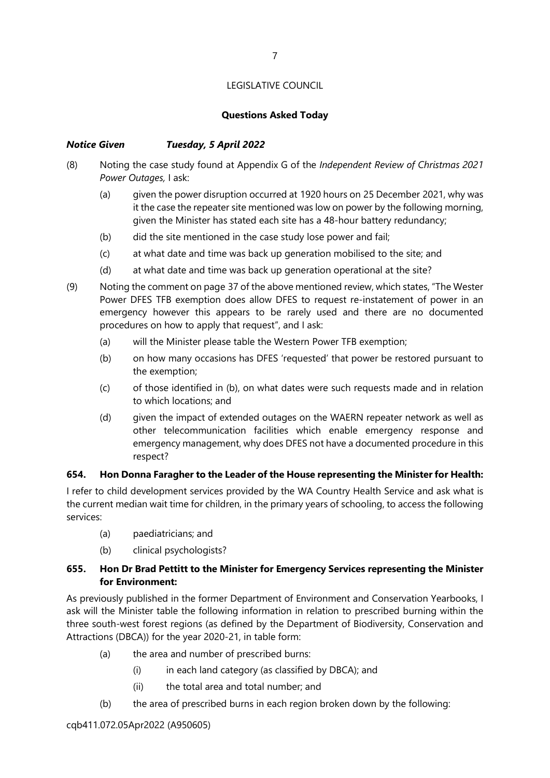# **Questions Asked Today**

# *Notice Given Tuesday, 5 April 2022*

- (8) Noting the case study found at Appendix G of the *Independent Review of Christmas 2021 Power Outages,* I ask:
	- (a) given the power disruption occurred at 1920 hours on 25 December 2021, why was it the case the repeater site mentioned was low on power by the following morning, given the Minister has stated each site has a 48-hour battery redundancy;
	- (b) did the site mentioned in the case study lose power and fail;
	- (c) at what date and time was back up generation mobilised to the site; and
	- (d) at what date and time was back up generation operational at the site?
- (9) Noting the comment on page 37 of the above mentioned review, which states, "The Wester Power DFES TFB exemption does allow DFES to request re-instatement of power in an emergency however this appears to be rarely used and there are no documented procedures on how to apply that request", and I ask:
	- (a) will the Minister please table the Western Power TFB exemption;
	- (b) on how many occasions has DFES 'requested' that power be restored pursuant to the exemption;
	- (c) of those identified in (b), on what dates were such requests made and in relation to which locations; and
	- (d) given the impact of extended outages on the WAERN repeater network as well as other telecommunication facilities which enable emergency response and emergency management, why does DFES not have a documented procedure in this respect?

# **654. Hon Donna Faragher to the Leader of the House representing the Minister for Health:**

I refer to child development services provided by the WA Country Health Service and ask what is the current median wait time for children, in the primary years of schooling, to access the following services:

- (a) paediatricians; and
- (b) clinical psychologists?

# **655. Hon Dr Brad Pettitt to the Minister for Emergency Services representing the Minister for Environment:**

As previously published in the former Department of Environment and Conservation Yearbooks, I ask will the Minister table the following information in relation to prescribed burning within the three south-west forest regions (as defined by the Department of Biodiversity, Conservation and Attractions (DBCA)) for the year 2020-21, in table form:

- (a) the area and number of prescribed burns:
	- (i) in each land category (as classified by DBCA); and
	- (ii) the total area and total number; and
- (b) the area of prescribed burns in each region broken down by the following: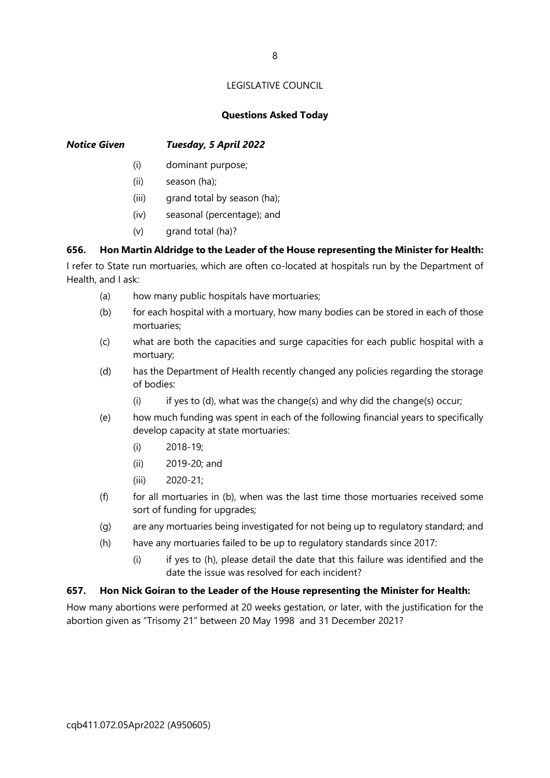# **Questions Asked Today**

# *Notice Given Tuesday, 5 April 2022*

- (i) dominant purpose;
- (ii) season (ha);
- (iii) grand total by season (ha);
- (iv) seasonal (percentage); and
- (v) grand total (ha)?

# **656. Hon Martin Aldridge to the Leader of the House representing the Minister for Health:**

I refer to State run mortuaries, which are often co-located at hospitals run by the Department of Health, and I ask:

- (a) how many public hospitals have mortuaries;
- (b) for each hospital with a mortuary, how many bodies can be stored in each of those mortuaries;
- (c) what are both the capacities and surge capacities for each public hospital with a mortuary;
- (d) has the Department of Health recently changed any policies regarding the storage of bodies:
	- (i) if yes to (d), what was the change(s) and why did the change(s) occur;
- (e) how much funding was spent in each of the following financial years to specifically develop capacity at state mortuaries:
	- (i) 2018-19;
	- (ii) 2019-20; and
	- (iii) 2020-21;
- $(f)$  for all mortuaries in (b), when was the last time those mortuaries received some sort of funding for upgrades;
- (g) are any mortuaries being investigated for not being up to regulatory standard; and
- (h) have any mortuaries failed to be up to regulatory standards since 2017:
	- (i) if yes to (h), please detail the date that this failure was identified and the date the issue was resolved for each incident?

### **657. Hon Nick Goiran to the Leader of the House representing the Minister for Health:**

How many abortions were performed at 20 weeks gestation, or later, with the justification for the abortion given as "Trisomy 21" between 20 May 1998 and 31 December 2021?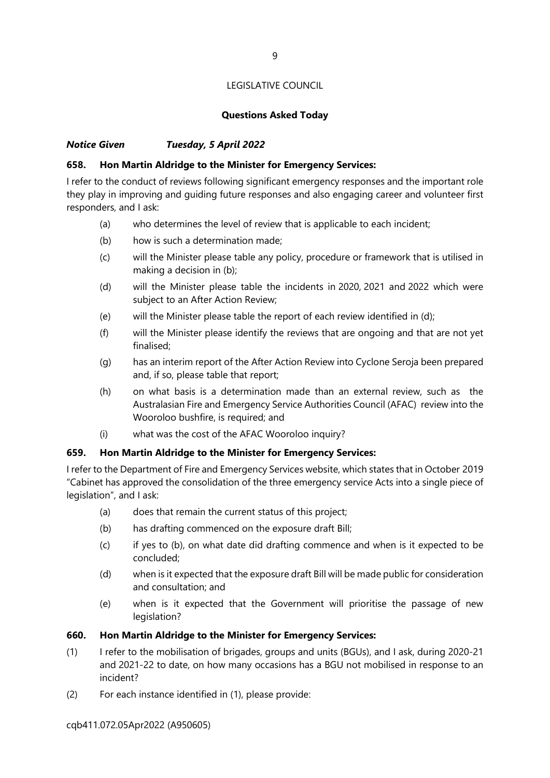# **Questions Asked Today**

# *Notice Given Tuesday, 5 April 2022*

# **658. Hon Martin Aldridge to the Minister for Emergency Services:**

I refer to the conduct of reviews following significant emergency responses and the important role they play in improving and guiding future responses and also engaging career and volunteer first responders, and I ask:

- (a) who determines the level of review that is applicable to each incident;
- (b) how is such a determination made;
- (c) will the Minister please table any policy, procedure or framework that is utilised in making a decision in (b);
- (d) will the Minister please table the incidents in 2020, 2021 and 2022 which were subject to an After Action Review;
- (e) will the Minister please table the report of each review identified in (d);
- (f) will the Minister please identify the reviews that are ongoing and that are not yet finalised;
- (g) has an interim report of the After Action Review into Cyclone Seroja been prepared and, if so, please table that report;
- (h) on what basis is a determination made than an external review, such as the Australasian Fire and Emergency Service Authorities Council (AFAC) review into the Wooroloo bushfire, is required; and
- (i) what was the cost of the AFAC Wooroloo inquiry?

# **659. Hon Martin Aldridge to the Minister for Emergency Services:**

I refer to the Department of Fire and Emergency Services website, which states that in October 2019 "Cabinet has approved the consolidation of the three emergency service Acts into a single piece of legislation", and I ask:

- (a) does that remain the current status of this project;
- (b) has drafting commenced on the exposure draft Bill;
- (c) if yes to (b), on what date did drafting commence and when is it expected to be concluded;
- (d) when is it expected that the exposure draft Bill will be made public for consideration and consultation; and
- (e) when is it expected that the Government will prioritise the passage of new legislation?

### **660. Hon Martin Aldridge to the Minister for Emergency Services:**

- (1) I refer to the mobilisation of brigades, groups and units (BGUs), and I ask, during 2020-21 and 2021-22 to date, on how many occasions has a BGU not mobilised in response to an incident?
- (2) For each instance identified in (1), please provide: